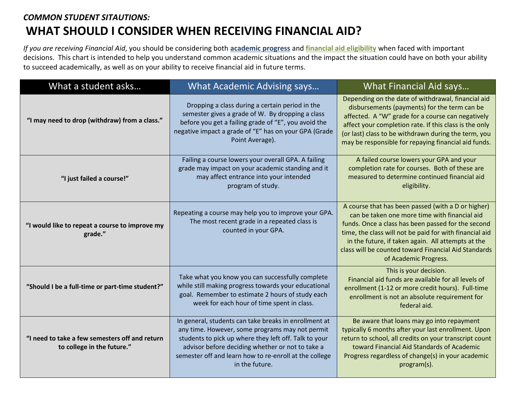## *COMMON STUDENT SITAUTIONS:* **WHAT SHOULD I CONSIDER WHEN RECEIVING FINANCIAL AID?**

*If you are receiving Financial Aid*, you should be considering both **academic progress** and **financial aid eligibility** when faced with important decisions. This chart is intended to help you understand common academic situations and the impact the situation could have on both your ability to succeed academically, as well as on your ability to receive financial aid in future terms.

| What a student asks                                                          | <b>What Academic Advising says</b>                                                                                                                                                                                                                                                                | What Financial Aid says                                                                                                                                                                                                                                                                                                                                     |
|------------------------------------------------------------------------------|---------------------------------------------------------------------------------------------------------------------------------------------------------------------------------------------------------------------------------------------------------------------------------------------------|-------------------------------------------------------------------------------------------------------------------------------------------------------------------------------------------------------------------------------------------------------------------------------------------------------------------------------------------------------------|
| "I may need to drop (withdraw) from a class."                                | Dropping a class during a certain period in the<br>semester gives a grade of W. By dropping a class<br>before you get a failing grade of "E", you avoid the<br>negative impact a grade of "E" has on your GPA (Grade<br>Point Average).                                                           | Depending on the date of withdrawal, financial aid<br>disbursements (payments) for the term can be<br>affected. A "W" grade for a course can negatively<br>affect your completion rate. If this class is the only<br>(or last) class to be withdrawn during the term, you<br>may be responsible for repaying financial aid funds.                           |
| "I just failed a course!"                                                    | Failing a course lowers your overall GPA. A failing<br>grade may impact on your academic standing and it<br>may affect entrance into your intended<br>program of study.                                                                                                                           | A failed course lowers your GPA and your<br>completion rate for courses. Both of these are<br>measured to determine continued financial aid<br>eligibility.                                                                                                                                                                                                 |
| "I would like to repeat a course to improve my<br>grade."                    | Repeating a course may help you to improve your GPA.<br>The most recent grade in a repeated class is<br>counted in your GPA.                                                                                                                                                                      | A course that has been passed (with a D or higher)<br>can be taken one more time with financial aid<br>funds. Once a class has been passed for the second<br>time, the class will not be paid for with financial aid<br>in the future, if taken again. All attempts at the<br>class will be counted toward Financial Aid Standards<br>of Academic Progress. |
| "Should I be a full-time or part-time student?"                              | Take what you know you can successfully complete<br>while still making progress towards your educational<br>goal. Remember to estimate 2 hours of study each<br>week for each hour of time spent in class.                                                                                        | This is your decision.<br>Financial aid funds are available for all levels of<br>enrollment (1-12 or more credit hours). Full-time<br>enrollment is not an absolute requirement for<br>federal aid.                                                                                                                                                         |
| "I need to take a few semesters off and return<br>to college in the future." | In general, students can take breaks in enrollment at<br>any time. However, some programs may not permit<br>students to pick up where they left off. Talk to your<br>advisor before deciding whether or not to take a<br>semester off and learn how to re-enroll at the college<br>in the future. | Be aware that loans may go into repayment<br>typically 6 months after your last enrollment. Upon<br>return to school, all credits on your transcript count<br>toward Financial Aid Standards of Academic<br>Progress regardless of change(s) in your academic<br>program(s).                                                                                |